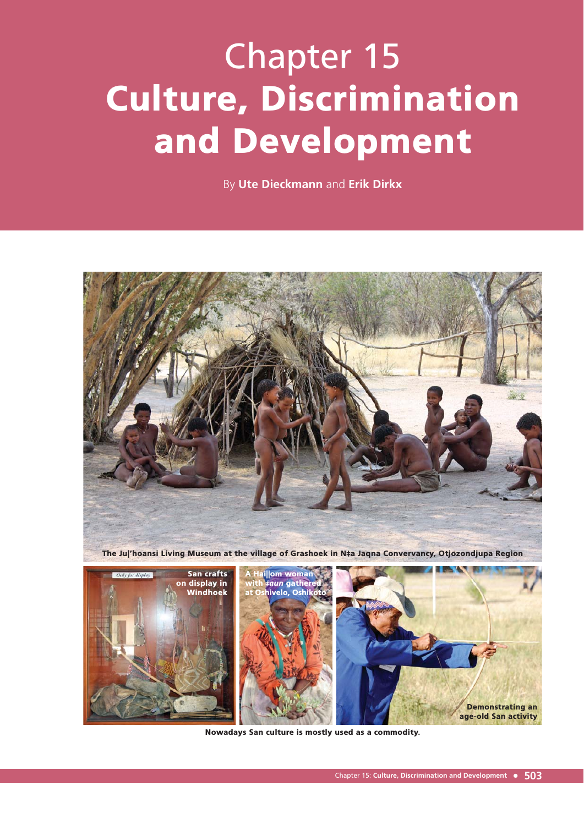# Chapter 15 Culture, Discrimination and Development

By **Ute Dieckmann** and **Erik Dirkx**



Nowadays San culture is mostly used as a commodity.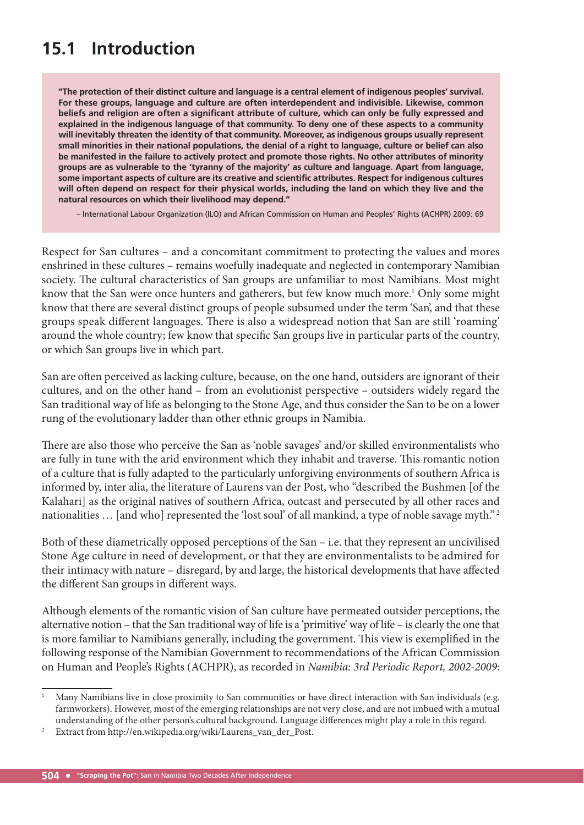# **15.1 Introduction**

**"The protection of their distinct culture and language is a central element of indigenous peoples' survival. For these groups, language and culture are often interdependent and indivisible. Likewise, common beliefs and religion are often a significant attribute of culture, which can only be fully expressed and explained in the indigenous language of that community. To deny one of these aspects to a community will inevitably threaten the identity of that community. Moreover, as indigenous groups usually represent small minorities in their national populations, the denial of a right to language, culture or belief can also be manifested in the failure to actively protect and promote those rights. No other attributes of minority groups are as vulnerable to the 'tyranny of the majority' as culture and language. Apart from language, some important aspects of culture are its creative and scientific attributes. Respect for indigenous cultures will often depend on respect for their physical worlds, including the land on which they live and the natural resources on which their livelihood may depend."**

– International Labour Organization (ILO) and African Commission on Human and Peoples' Rights (ACHPR) 2009: 69

Respect for San cultures – and a concomitant commitment to protecting the values and mores enshrined in these cultures – remains woefully inadequate and neglected in contemporary Namibian society. The cultural characteristics of San groups are unfamiliar to most Namibians. Most might know that the San were once hunters and gatherers, but few know much more.<sup>1</sup> Only some might know that there are several distinct groups of people subsumed under the term 'San', and that these groups speak different languages. There is also a widespread notion that San are still 'roaming' around the whole country; few know that specific San groups live in particular parts of the country, or which San groups live in which part.

San are often perceived as lacking culture, because, on the one hand, outsiders are ignorant of their cultures, and on the other hand – from an evolutionist perspective – outsiders widely regard the San traditional way of life as belonging to the Stone Age, and thus consider the San to be on a lower rung of the evolutionary ladder than other ethnic groups in Namibia.

There are also those who perceive the San as 'noble savages' and/or skilled environmentalists who are fully in tune with the arid environment which they inhabit and traverse. This romantic notion of a culture that is fully adapted to the particularly unforgiving environments of southern Africa is informed by, inter alia, the literature of Laurens van der Post, who "described the Bushmen [of the Kalahari] as the original natives of southern Africa, outcast and persecuted by all other races and nationalities ... [and who] represented the 'lost soul' of all mankind, a type of noble savage myth."<sup>2</sup>

Both of these diametrically opposed perceptions of the San – i.e. that they represent an uncivilised Stone Age culture in need of development, or that they are environmentalists to be admired for their intimacy with nature - disregard, by and large, the historical developments that have affected the different San groups in different ways.

Although elements of the romantic vision of San culture have permeated outsider perceptions, the alternative notion – that the San traditional way of life is a 'primitive' way of life – is clearly the one that is more familiar to Namibians generally, including the government. This view is exemplified in the following response of the Namibian Government to recommendations of the African Commission on Human and People's Rights (ACHPR), as recorded in Namibia: 3rd Periodic Report, 2002-2009:

<sup>1</sup> Many Namibians live in close proximity to San communities or have direct interaction with San individuals (e.g. farmworkers). However, most of the emerging relationships are not very close, and are not imbued with a mutual understanding of the other person's cultural background. Language differences might play a role in this regard.

<sup>2</sup> Extract from http://en.wikipedia.org/wiki/Laurens\_van\_der\_Post.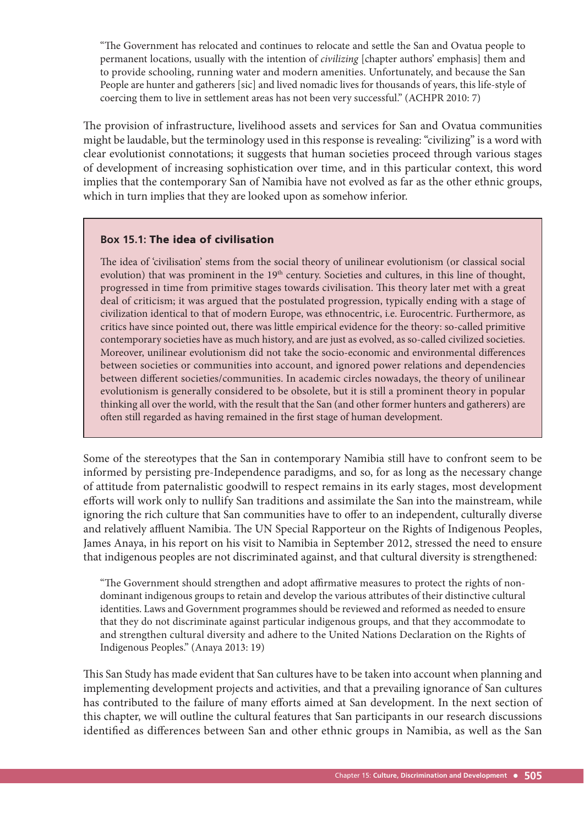"The Government has relocated and continues to relocate and settle the San and Ovatua people to permanent locations, usually with the intention of civilizing [chapter authors' emphasis] them and to provide schooling, running water and modern amenities. Unfortunately, and because the San People are hunter and gatherers [sic] and lived nomadic lives for thousands of years, this life-style of coercing them to live in settlement areas has not been very successful." (ACHPR 2010: 7)

The provision of infrastructure, livelihood assets and services for San and Ovatua communities might be laudable, but the terminology used in this response is revealing: "civilizing" is a word with clear evolutionist connotations; it suggests that human societies proceed through various stages of development of increasing sophistication over time, and in this particular context, this word implies that the contemporary San of Namibia have not evolved as far as the other ethnic groups, which in turn implies that they are looked upon as somehow inferior.

#### **Box 15.1:** The idea of civilisation

The idea of 'civilisation' stems from the social theory of unilinear evolutionism (or classical social evolution) that was prominent in the 19<sup>th</sup> century. Societies and cultures, in this line of thought, progressed in time from primitive stages towards civilisation. This theory later met with a great deal of criticism; it was argued that the postulated progression, typically ending with a stage of civilization identical to that of modern Europe, was ethnocentric, i.e. Eurocentric. Furthermore, as critics have since pointed out, there was little empirical evidence for the theory: so-called primitive contemporary societies have as much history, and are just as evolved, as so-called civilized societies. Moreover, unilinear evolutionism did not take the socio-economic and environmental differences between societies or communities into account, and ignored power relations and dependencies between different societies/communities. In academic circles nowadays, the theory of unilinear evolutionism is generally considered to be obsolete, but it is still a prominent theory in popular thinking all over the world, with the result that the San (and other former hunters and gatherers) are often still regarded as having remained in the first stage of human development.

Some of the stereotypes that the San in contemporary Namibia still have to confront seem to be informed by persisting pre-Independence paradigms, and so, for as long as the necessary change of attitude from paternalistic goodwill to respect remains in its early stages, most development efforts will work only to nullify San traditions and assimilate the San into the mainstream, while ignoring the rich culture that San communities have to offer to an independent, culturally diverse and relatively affluent Namibia. The UN Special Rapporteur on the Rights of Indigenous Peoples, James Anaya, in his report on his visit to Namibia in September 2012, stressed the need to ensure that indigenous peoples are not discriminated against, and that cultural diversity is strengthened:

"The Government should strengthen and adopt affirmative measures to protect the rights of nondominant indigenous groups to retain and develop the various attributes of their distinctive cultural identities. Laws and Government programmes should be reviewed and reformed as needed to ensure that they do not discriminate against particular indigenous groups, and that they accommodate to and strengthen cultural diversity and adhere to the United Nations Declaration on the Rights of Indigenous Peoples." (Anaya 2013: 19)

This San Study has made evident that San cultures have to be taken into account when planning and implementing development projects and activities, and that a prevailing ignorance of San cultures has contributed to the failure of many efforts aimed at San development. In the next section of this chapter, we will outline the cultural features that San participants in our research discussions identified as differences between San and other ethnic groups in Namibia, as well as the San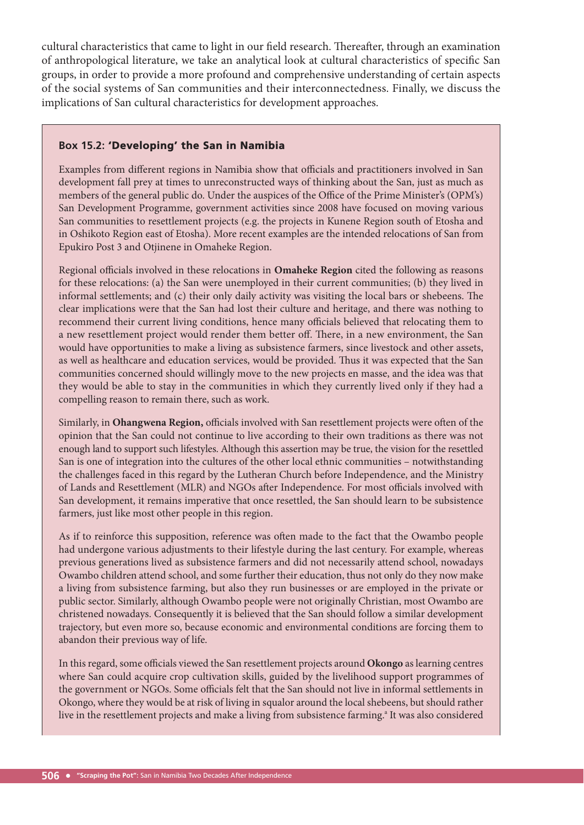cultural characteristics that came to light in our field research. Thereafter, through an examination of anthropological literature, we take an analytical look at cultural characteristics of specific San groups, in order to provide a more profound and comprehensive understanding of certain aspects of the social systems of San communities and their interconnectedness. Finally, we discuss the implications of San cultural characteristics for development approaches.

#### **Box 15.2:** 'Developing' the San in Namibia

Examples from different regions in Namibia show that officials and practitioners involved in San development fall prey at times to unreconstructed ways of thinking about the San, just as much as members of the general public do. Under the auspices of the Office of the Prime Minister's (OPM's) San Development Programme, government activities since 2008 have focused on moving various San communities to resettlement projects (e.g. the projects in Kunene Region south of Etosha and in Oshikoto Region east of Etosha). More recent examples are the intended relocations of San from Epukiro Post 3 and Otjinene in Omaheke Region.

Regional officials involved in these relocations in **Omaheke Region** cited the following as reasons for these relocations: (a) the San were unemployed in their current communities; (b) they lived in informal settlements; and (c) their only daily activity was visiting the local bars or shebeens. The clear implications were that the San had lost their culture and heritage, and there was nothing to recommend their current living conditions, hence many officials believed that relocating them to a new resettlement project would render them better off. There, in a new environment, the San would have opportunities to make a living as subsistence farmers, since livestock and other assets, as well as healthcare and education services, would be provided. Thus it was expected that the San communities concerned should willingly move to the new projects en masse, and the idea was that they would be able to stay in the communities in which they currently lived only if they had a compelling reason to remain there, such as work.

Similarly, in Ohangwena Region, officials involved with San resettlement projects were often of the opinion that the San could not continue to live according to their own traditions as there was not enough land to support such lifestyles. Although this assertion may be true, the vision for the resettled San is one of integration into the cultures of the other local ethnic communities – notwithstanding the challenges faced in this regard by the Lutheran Church before Independence, and the Ministry of Lands and Resettlement (MLR) and NGOs after Independence. For most officials involved with San development, it remains imperative that once resettled, the San should learn to be subsistence farmers, just like most other people in this region.

As if to reinforce this supposition, reference was often made to the fact that the Owambo people had undergone various adjustments to their lifestyle during the last century. For example, whereas previous generations lived as subsistence farmers and did not necessarily attend school, nowadays Owambo children attend school, and some further their education, thus not only do they now make a living from subsistence farming, but also they run businesses or are employed in the private or public sector. Similarly, although Owambo people were not originally Christian, most Owambo are christened nowadays. Consequently it is believed that the San should follow a similar development trajectory, but even more so, because economic and environmental conditions are forcing them to abandon their previous way of life.

In this regard, some officials viewed the San resettlement projects around Okongo as learning centres where San could acquire crop cultivation skills, guided by the livelihood support programmes of the government or NGOs. Some officials felt that the San should not live in informal settlements in Okongo, where they would be at risk of living in squalor around the local shebeens, but should rather live in the resettlement projects and make a living from subsistence farming.<sup>a</sup> It was also considered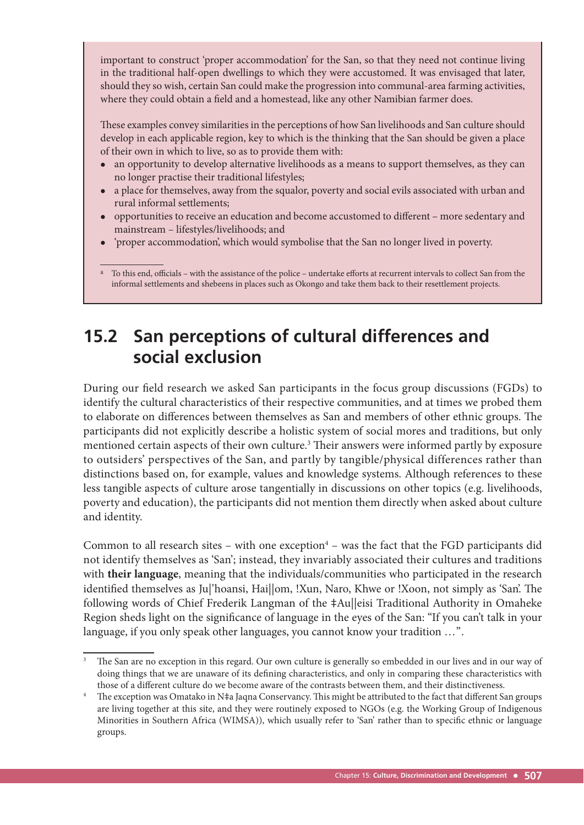important to construct 'proper accommodation' for the San, so that they need not continue living in the traditional half-open dwellings to which they were accustomed. It was envisaged that later, should they so wish, certain San could make the progression into communal-area farming activities, where they could obtain a field and a homestead, like any other Namibian farmer does.

These examples convey similarities in the perceptions of how San livelihoods and San culture should develop in each applicable region, key to which is the thinking that the San should be given a place of their own in which to live, so as to provide them with:

- an opportunity to develop alternative livelihoods as a means to support themselves, as they can no longer practise their traditional lifestyles;
- a place for themselves, away from the squalor, poverty and social evils associated with urban and rural informal settlements;
- opportunities to receive an education and become accustomed to different more sedentary and mainstream – lifestyles/livelihoods; and
- 'proper accommodation', which would symbolise that the San no longer lived in poverty.

<sup>a</sup> To this end, officials – with the assistance of the police – undertake efforts at recurrent intervals to collect San from the informal settlements and shebeens in places such as Okongo and take them back to their resettlement projects.

# **15.2 San perceptions of cultural differences and social exclusion**

During our field research we asked San participants in the focus group discussions (FGDs) to identify the cultural characteristics of their respective communities, and at times we probed them to elaborate on differences between themselves as San and members of other ethnic groups. The participants did not explicitly describe a holistic system of social mores and traditions, but only mentioned certain aspects of their own culture.<sup>3</sup> Their answers were informed partly by exposure to outsiders' perspectives of the San, and partly by tangible/physical differences rather than distinctions based on, for example, values and knowledge systems. Although references to these less tangible aspects of culture arose tangentially in discussions on other topics (e.g. livelihoods, poverty and education), the participants did not mention them directly when asked about culture and identity.

Common to all research sites  $-$  with one exception<sup>4</sup>  $-$  was the fact that the FGD participants did not identify themselves as 'San'; instead, they invariably associated their cultures and traditions with **their language**, meaning that the individuals/communities who participated in the research identified themselves as Ju|'hoansi, Hai||om, !Xun, Naro, Khwe or !Xoon, not simply as 'San'. The following words of Chief Frederik Langman of the ‡Au||eisi Traditional Authority in Omaheke Region sheds light on the significance of language in the eyes of the San: "If you can't talk in your language, if you only speak other languages, you cannot know your tradition ...".

<sup>3</sup> The San are no exception in this regard. Our own culture is generally so embedded in our lives and in our way of doing things that we are unaware of its defining characteristics, and only in comparing these characteristics with those of a different culture do we become aware of the contrasts between them, and their distinctiveness.

The exception was Omatako in N‡a Jaqna Conservancy. This might be attributed to the fact that different San groups are living together at this site, and they were routinely exposed to NGOs (e.g. the Working Group of Indigenous Minorities in Southern Africa (WIMSA)), which usually refer to 'San' rather than to specific ethnic or language groups.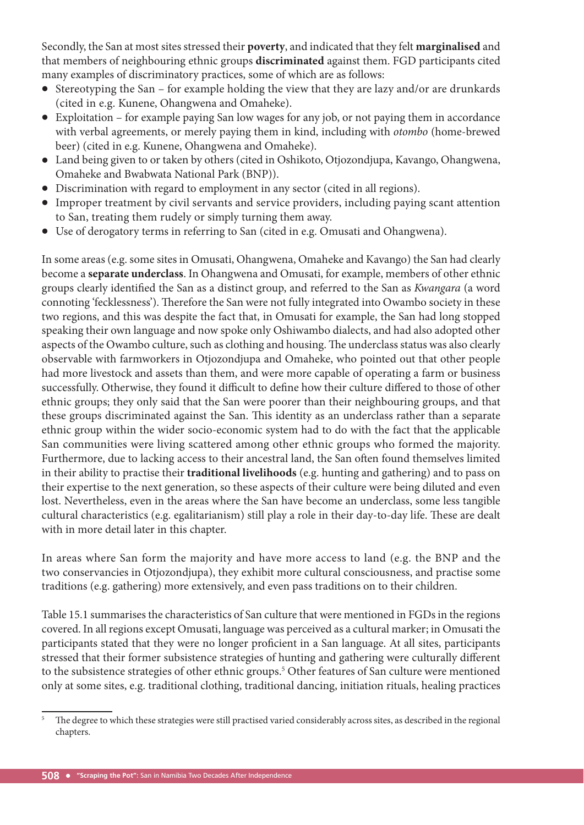Secondly, the San at most sites stressed their **poverty**, and indicated that they felt **marginalised** and that members of neighbouring ethnic groups **discriminated** against them. FGD participants cited many examples of discriminatory practices, some of which are as follows:

- Stereotyping the San for example holding the view that they are lazy and/or are drunkards (cited in e.g. Kunene, Ohangwena and Omaheke).
- Exploitation for example paying San low wages for any job, or not paying them in accordance with verbal agreements, or merely paying them in kind, including with otombo (home-brewed beer) (cited in e.g. Kunene, Ohangwena and Omaheke).
- Land being given to or taken by others (cited in Oshikoto, Otjozondjupa, Kavango, Ohangwena, Omaheke and Bwabwata National Park (BNP)).
- Discrimination with regard to employment in any sector (cited in all regions).
- Improper treatment by civil servants and service providers, including paying scant attention to San, treating them rudely or simply turning them away.
- Use of derogatory terms in referring to San (cited in e.g. Omusati and Ohangwena).

In some areas (e.g. some sites in Omusati, Ohangwena, Omaheke and Kavango) the San had clearly become a **separate underclass**. In Ohangwena and Omusati, for example, members of other ethnic groups clearly identified the San as a distinct group, and referred to the San as Kwangara (a word connoting 'fecklessness'). Therefore the San were not fully integrated into Owambo society in these two regions, and this was despite the fact that, in Omusati for example, the San had long stopped speaking their own language and now spoke only Oshiwambo dialects, and had also adopted other aspects of the Owambo culture, such as clothing and housing. The underclass status was also clearly observable with farmworkers in Otjozondjupa and Omaheke, who pointed out that other people had more livestock and assets than them, and were more capable of operating a farm or business successfully. Otherwise, they found it difficult to define how their culture differed to those of other ethnic groups; they only said that the San were poorer than their neighbouring groups, and that these groups discriminated against the San. This identity as an underclass rather than a separate ethnic group within the wider socio-economic system had to do with the fact that the applicable San communities were living scattered among other ethnic groups who formed the majority. Furthermore, due to lacking access to their ancestral land, the San often found themselves limited in their ability to practise their **traditional livelihoods** (e.g. hunting and gathering) and to pass on their expertise to the next generation, so these aspects of their culture were being diluted and even lost. Nevertheless, even in the areas where the San have become an underclass, some less tangible cultural characteristics (e.g. egalitarianism) still play a role in their day-to-day life. These are dealt with in more detail later in this chapter.

In areas where San form the majority and have more access to land (e.g. the BNP and the two conservancies in Otjozondjupa), they exhibit more cultural consciousness, and practise some traditions (e.g. gathering) more extensively, and even pass traditions on to their children.

Table 15.1 summarises the characteristics of San culture that were mentioned in FGDs in the regions covered. In all regions except Omusati, language was perceived as a cultural marker; in Omusati the participants stated that they were no longer proficient in a San language. At all sites, participants stressed that their former subsistence strategies of hunting and gathering were culturally different to the subsistence strategies of other ethnic groups.<sup>5</sup> Other features of San culture were mentioned only at some sites, e.g. traditional clothing, traditional dancing, initiation rituals, healing practices

<sup>5</sup> The degree to which these strategies were still practised varied considerably across sites, as described in the regional chapters.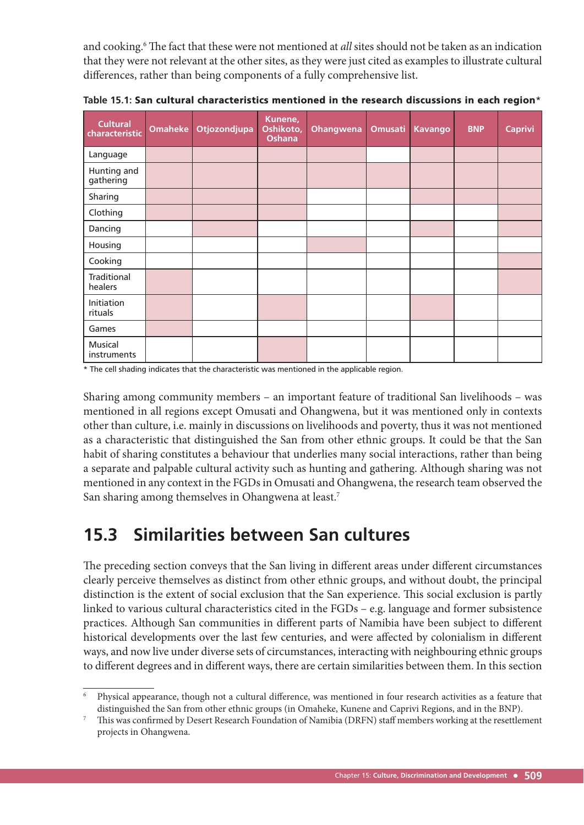and cooking.<sup>6</sup> The fact that these were not mentioned at all sites should not be taken as an indication that they were not relevant at the other sites, as they were just cited as examples to illustrate cultural differences, rather than being components of a fully comprehensive list.

| <b>Cultural</b><br>characteristic | <b>Omaheke</b> | Otjozondjupa | Kunene,<br>Oshikoto,<br><b>Oshana</b> | <b>Ohangwena</b> | <b>Omusati</b> | <b>Kavango</b> | <b>BNP</b> | <b>Caprivi</b> |
|-----------------------------------|----------------|--------------|---------------------------------------|------------------|----------------|----------------|------------|----------------|
| Language                          |                |              |                                       |                  |                |                |            |                |
| Hunting and<br>gathering          |                |              |                                       |                  |                |                |            |                |
| Sharing                           |                |              |                                       |                  |                |                |            |                |
| Clothing                          |                |              |                                       |                  |                |                |            |                |
| Dancing                           |                |              |                                       |                  |                |                |            |                |
| Housing                           |                |              |                                       |                  |                |                |            |                |
| Cooking                           |                |              |                                       |                  |                |                |            |                |
| Traditional<br>healers            |                |              |                                       |                  |                |                |            |                |
| Initiation<br>rituals             |                |              |                                       |                  |                |                |            |                |
| Games                             |                |              |                                       |                  |                |                |            |                |
| Musical<br>instruments            |                |              |                                       |                  |                |                |            |                |

**Table 15.1:** San cultural characteristics mentioned in the research discussions in each region\*

\* The cell shading indicates that the characteristic was mentioned in the applicable region.

Sharing among community members – an important feature of traditional San livelihoods – was mentioned in all regions except Omusati and Ohangwena, but it was mentioned only in contexts other than culture, i.e. mainly in discussions on livelihoods and poverty, thus it was not mentioned as a characteristic that distinguished the San from other ethnic groups. It could be that the San habit of sharing constitutes a behaviour that underlies many social interactions, rather than being a separate and palpable cultural activity such as hunting and gathering. Although sharing was not mentioned in any context in the FGDs in Omusati and Ohangwena, the research team observed the San sharing among themselves in Ohangwena at least.7

## **15.3 Similarities between San cultures**

The preceding section conveys that the San living in different areas under different circumstances clearly perceive themselves as distinct from other ethnic groups, and without doubt, the principal distinction is the extent of social exclusion that the San experience. This social exclusion is partly linked to various cultural characteristics cited in the FGDs – e.g. language and former subsistence practices. Although San communities in different parts of Namibia have been subject to different historical developments over the last few centuries, and were affected by colonialism in different ways, and now live under diverse sets of circumstances, interacting with neighbouring ethnic groups to different degrees and in different ways, there are certain similarities between them. In this section

<sup>6</sup> Physical appearance, though not a cultural difference, was mentioned in four research activities as a feature that distinguished the San from other ethnic groups (in Omaheke, Kunene and Caprivi Regions, and in the BNP).

<sup>7</sup> This was confirmed by Desert Research Foundation of Namibia (DRFN) staff members working at the resettlement projects in Ohangwena.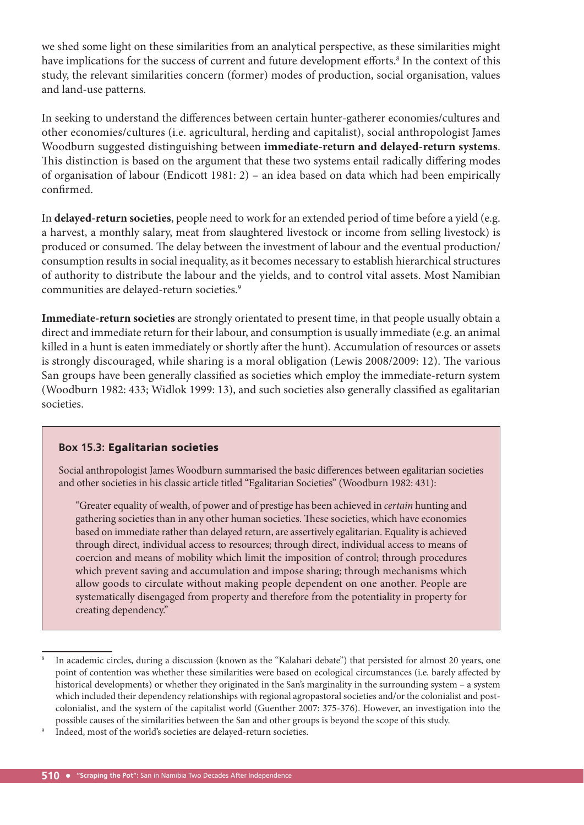we shed some light on these similarities from an analytical perspective, as these similarities might have implications for the success of current and future development efforts.<sup>8</sup> In the context of this study, the relevant similarities concern (former) modes of production, social organisation, values and land-use patterns.

In seeking to understand the differences between certain hunter-gatherer economies/cultures and other economies/cultures (i.e. agricultural, herding and capitalist), social anthropologist James Woodburn suggested distinguishing between **immediate-return and delayed-return systems**. This distinction is based on the argument that these two systems entail radically differing modes of organisation of labour (Endicott 1981: 2) – an idea based on data which had been empirically confirmed.

In **delayed-return societies**, people need to work for an extended period of time before a yield (e.g. a harvest, a monthly salary, meat from slaughtered livestock or income from selling livestock) is produced or consumed. The delay between the investment of labour and the eventual production/ consumption results in social inequality, as it becomes necessary to establish hierarchical structures of authority to distribute the labour and the yields, and to control vital assets. Most Namibian communities are delayed-return societies.<sup>9</sup>

**Immediate-return societies** are strongly orientated to present time, in that people usually obtain a direct and immediate return for their labour, and consumption is usually immediate (e.g. an animal killed in a hunt is eaten immediately or shortly after the hunt). Accumulation of resources or assets is strongly discouraged, while sharing is a moral obligation (Lewis 2008/2009: 12). The various San groups have been generally classified as societies which employ the immediate-return system (Woodburn 1982: 433; Widlok 1999: 13), and such societies also generally classified as egalitarian societies.

#### **Box 15.3:** Egalitarian societies

Social anthropologist James Woodburn summarised the basic differences between egalitarian societies and other societies in his classic article titled "Egalitarian Societies" (Woodburn 1982: 431):

"Greater equality of wealth, of power and of prestige has been achieved in certain hunting and gathering societies than in any other human societies. These societies, which have economies based on immediate rather than delayed return, are assertively egalitarian. Equality is achieved through direct, individual access to resources; through direct, individual access to means of coercion and means of mobility which limit the imposition of control; through procedures which prevent saving and accumulation and impose sharing; through mechanisms which allow goods to circulate without making people dependent on one another. People are systematically disengaged from property and therefore from the potentiality in property for creating dependency."

<sup>8</sup> In academic circles, during a discussion (known as the "Kalahari debate") that persisted for almost 20 years, one point of contention was whether these similarities were based on ecological circumstances (i.e. barely affected by historical developments) or whether they originated in the San's marginality in the surrounding system – a system which included their dependency relationships with regional agropastoral societies and/or the colonialist and postcolonialist, and the system of the capitalist world (Guenther 2007: 375-376). However, an investigation into the possible causes of the similarities between the San and other groups is beyond the scope of this study.

<sup>9</sup> Indeed, most of the world's societies are delayed-return societies.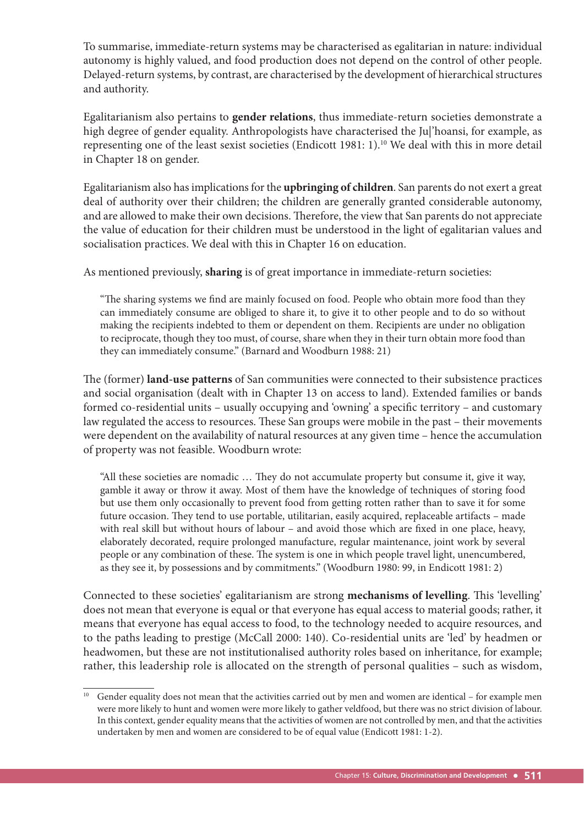To summarise, immediate-return systems may be characterised as egalitarian in nature: individual autonomy is highly valued, and food production does not depend on the control of other people. Delayed-return systems, by contrast, are characterised by the development of hierarchical structures and authority.

Egalitarianism also pertains to **gender relations**, thus immediate-return societies demonstrate a high degree of gender equality. Anthropologists have characterised the Ju|'hoansi, for example, as representing one of the least sexist societies (Endicott 1981: 1).10 We deal with this in more detail in Chapter 18 on gender.

Egalitarianism also has implications for the **upbringing of children**. San parents do not exert a great deal of authority over their children; the children are generally granted considerable autonomy, and are allowed to make their own decisions. Therefore, the view that San parents do not appreciate the value of education for their children must be understood in the light of egalitarian values and socialisation practices. We deal with this in Chapter 16 on education.

As mentioned previously, **sharing** is of great importance in immediate-return societies:

"The sharing systems we find are mainly focused on food. People who obtain more food than they can immediately consume are obliged to share it, to give it to other people and to do so without making the recipients indebted to them or dependent on them. Recipients are under no obligation to reciprocate, though they too must, of course, share when they in their turn obtain more food than they can immediately consume." (Barnard and Woodburn 1988: 21)

The (former) land-use patterns of San communities were connected to their subsistence practices and social organisation (dealt with in Chapter 13 on access to land). Extended families or bands formed co-residential units – usually occupying and 'owning' a specific territory – and customary law regulated the access to resources. These San groups were mobile in the past - their movements were dependent on the availability of natural resources at any given time – hence the accumulation of property was not feasible. Woodburn wrote:

"All these societies are nomadic ... They do not accumulate property but consume it, give it way, gamble it away or throw it away. Most of them have the knowledge of techniques of storing food but use them only occasionally to prevent food from getting rotten rather than to save it for some future occasion. They tend to use portable, utilitarian, easily acquired, replaceable artifacts - made with real skill but without hours of labour – and avoid those which are fixed in one place, heavy, elaborately decorated, require prolonged manufacture, regular maintenance, joint work by several people or any combination of these. The system is one in which people travel light, unencumbered, as they see it, by possessions and by commitments." (Woodburn 1980: 99, in Endicott 1981: 2)

Connected to these societies' egalitarianism are strong **mechanisms of levelling**. This 'levelling' does not mean that everyone is equal or that everyone has equal access to material goods; rather, it means that everyone has equal access to food, to the technology needed to acquire resources, and to the paths leading to prestige (McCall 2000: 140). Co-residential units are 'led' by headmen or headwomen, but these are not institutionalised authority roles based on inheritance, for example; rather, this leadership role is allocated on the strength of personal qualities – such as wisdom,

<sup>&</sup>lt;sup>10</sup> Gender equality does not mean that the activities carried out by men and women are identical – for example men were more likely to hunt and women were more likely to gather veldfood, but there was no strict division of labour. In this context, gender equality means that the activities of women are not controlled by men, and that the activities undertaken by men and women are considered to be of equal value (Endicott 1981: 1-2).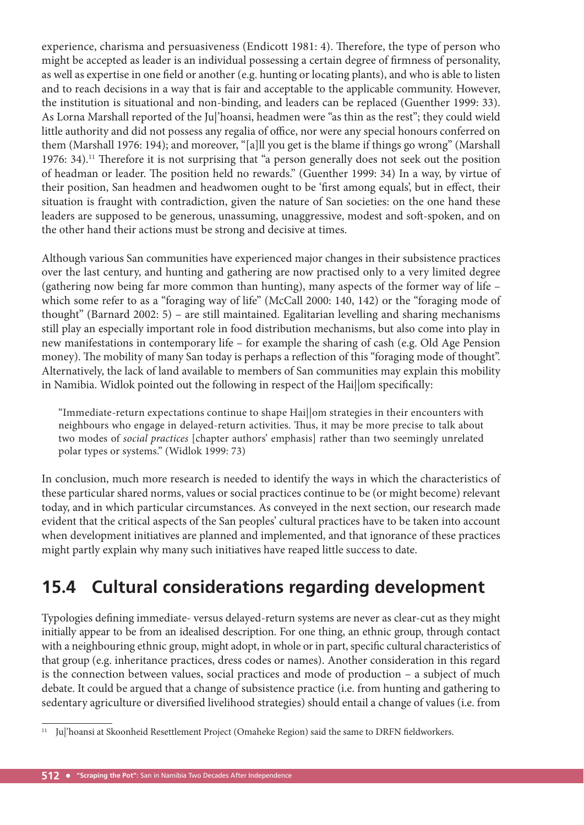experience, charisma and persuasiveness (Endicott 1981: 4). Therefore, the type of person who might be accepted as leader is an individual possessing a certain degree of firmness of personality, as well as expertise in one field or another (e.g. hunting or locating plants), and who is able to listen and to reach decisions in a way that is fair and acceptable to the applicable community. However, the institution is situational and non-binding, and leaders can be replaced (Guenther 1999: 33). As Lorna Marshall reported of the Ju|'hoansi, headmen were "as thin as the rest"; they could wield little authority and did not possess any regalia of office, nor were any special honours conferred on them (Marshall 1976: 194); and moreover, "[a]ll you get is the blame if things go wrong" (Marshall 1976: 34).<sup>11</sup> Therefore it is not surprising that "a person generally does not seek out the position of headman or leader. The position held no rewards." (Guenther 1999: 34) In a way, by virtue of their position, San headmen and headwomen ought to be 'first among equals', but in effect, their situation is fraught with contradiction, given the nature of San societies: on the one hand these leaders are supposed to be generous, unassuming, unaggressive, modest and soft -spoken, and on the other hand their actions must be strong and decisive at times.

Although various San communities have experienced major changes in their subsistence practices over the last century, and hunting and gathering are now practised only to a very limited degree (gathering now being far more common than hunting), many aspects of the former way of life – which some refer to as a "foraging way of life" (McCall 2000: 140, 142) or the "foraging mode of thought" (Barnard 2002: 5) – are still maintained. Egalitarian levelling and sharing mechanisms still play an especially important role in food distribution mechanisms, but also come into play in new manifestations in contemporary life – for example the sharing of cash (e.g. Old Age Pension money). The mobility of many San today is perhaps a reflection of this "foraging mode of thought". Alternatively, the lack of land available to members of San communities may explain this mobility in Namibia. Widlok pointed out the following in respect of the Haillom specifically:

"Immediate-return expectations continue to shape Hai||om strategies in their encounters with neighbours who engage in delayed-return activities. Thus, it may be more precise to talk about two modes of social practices [chapter authors' emphasis] rather than two seemingly unrelated polar types or systems." (Widlok 1999: 73)

In conclusion, much more research is needed to identify the ways in which the characteristics of these particular shared norms, values or social practices continue to be (or might become) relevant today, and in which particular circumstances. As conveyed in the next section, our research made evident that the critical aspects of the San peoples' cultural practices have to be taken into account when development initiatives are planned and implemented, and that ignorance of these practices might partly explain why many such initiatives have reaped little success to date.

# **15.4 Cultural considerations regarding development**

Typologies defining immediate- versus delayed-return systems are never as clear-cut as they might initially appear to be from an idealised description. For one thing, an ethnic group, through contact with a neighbouring ethnic group, might adopt, in whole or in part, specific cultural characteristics of that group (e.g. inheritance practices, dress codes or names). Another consideration in this regard is the connection between values, social practices and mode of production – a subject of much debate. It could be argued that a change of subsistence practice (i.e. from hunting and gathering to sedentary agriculture or diversified livelihood strategies) should entail a change of values (i.e. from

<sup>&</sup>lt;sup>11</sup> Ju|'hoansi at Skoonheid Resettlement Project (Omaheke Region) said the same to DRFN fieldworkers.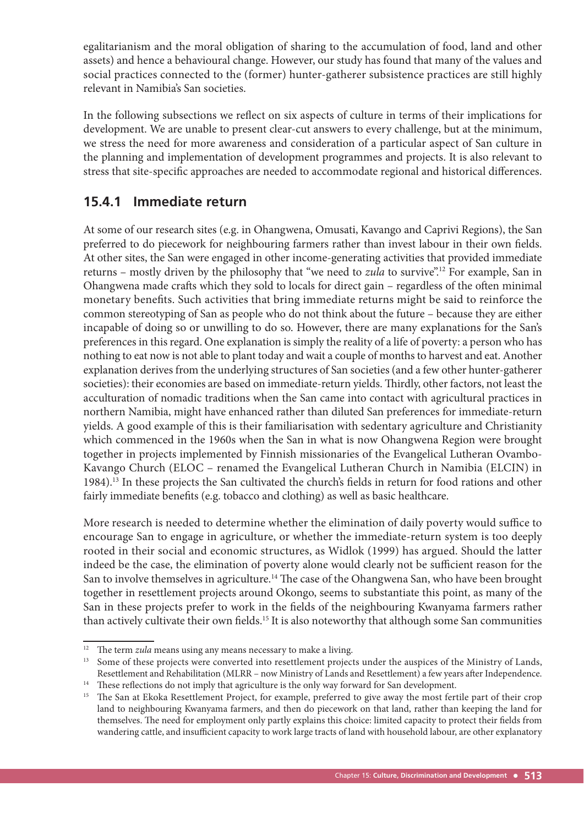egalitarianism and the moral obligation of sharing to the accumulation of food, land and other assets) and hence a behavioural change. However, our study has found that many of the values and social practices connected to the (former) hunter-gatherer subsistence practices are still highly relevant in Namibia's San societies.

In the following subsections we reflect on six aspects of culture in terms of their implications for development. We are unable to present clear-cut answers to every challenge, but at the minimum, we stress the need for more awareness and consideration of a particular aspect of San culture in the planning and implementation of development programmes and projects. It is also relevant to stress that site-specific approaches are needed to accommodate regional and historical differences.

#### **15.4.1 Immediate return**

At some of our research sites (e.g. in Ohangwena, Omusati, Kavango and Caprivi Regions), the San preferred to do piecework for neighbouring farmers rather than invest labour in their own fields. At other sites, the San were engaged in other income-generating activities that provided immediate returns – mostly driven by the philosophy that "we need to *zula* to survive".<sup>12</sup> For example, San in Ohangwena made crafts which they sold to locals for direct gain – regardless of the often minimal monetary benefits. Such activities that bring immediate returns might be said to reinforce the common stereotyping of San as people who do not think about the future – because they are either incapable of doing so or unwilling to do so. However, there are many explanations for the San's preferences in this regard. One explanation is simply the reality of a life of poverty: a person who has nothing to eat now is not able to plant today and wait a couple of months to harvest and eat. Another explanation derives from the underlying structures of San societies (and a few other hunter-gatherer societies): their economies are based on immediate-return yields. Thirdly, other factors, not least the acculturation of nomadic traditions when the San came into contact with agricultural practices in northern Namibia, might have enhanced rather than diluted San preferences for immediate-return yields. A good example of this is their familiarisation with sedentary agriculture and Christianity which commenced in the 1960s when the San in what is now Ohangwena Region were brought together in projects implemented by Finnish missionaries of the Evangelical Lutheran Ovambo-Kavango Church (ELOC – renamed the Evangelical Lutheran Church in Namibia (ELCIN) in 1984).<sup>13</sup> In these projects the San cultivated the church's fields in return for food rations and other fairly immediate benefits (e.g. tobacco and clothing) as well as basic healthcare.

More research is needed to determine whether the elimination of daily poverty would suffice to encourage San to engage in agriculture, or whether the immediate-return system is too deeply rooted in their social and economic structures, as Widlok (1999) has argued. Should the latter indeed be the case, the elimination of poverty alone would clearly not be sufficient reason for the San to involve themselves in agriculture.<sup>14</sup> The case of the Ohangwena San, who have been brought together in resettlement projects around Okongo, seems to substantiate this point, as many of the San in these projects prefer to work in the fields of the neighbouring Kwanyama farmers rather than actively cultivate their own fields.<sup>15</sup> It is also noteworthy that although some San communities

 $12$  The term zula means using any means necessary to make a living.

<sup>&</sup>lt;sup>13</sup> Some of these projects were converted into resettlement projects under the auspices of the Ministry of Lands, Resettlement and Rehabilitation (MLRR – now Ministry of Lands and Resettlement) a few years after Independence. <sup>14</sup> These reflections do not imply that agriculture is the only way forward for San development.

<sup>&</sup>lt;sup>15</sup> The San at Ekoka Resettlement Project, for example, preferred to give away the most fertile part of their crop land to neighbouring Kwanyama farmers, and then do piecework on that land, rather than keeping the land for themselves. The need for employment only partly explains this choice: limited capacity to protect their fields from wandering cattle, and insufficient capacity to work large tracts of land with household labour, are other explanatory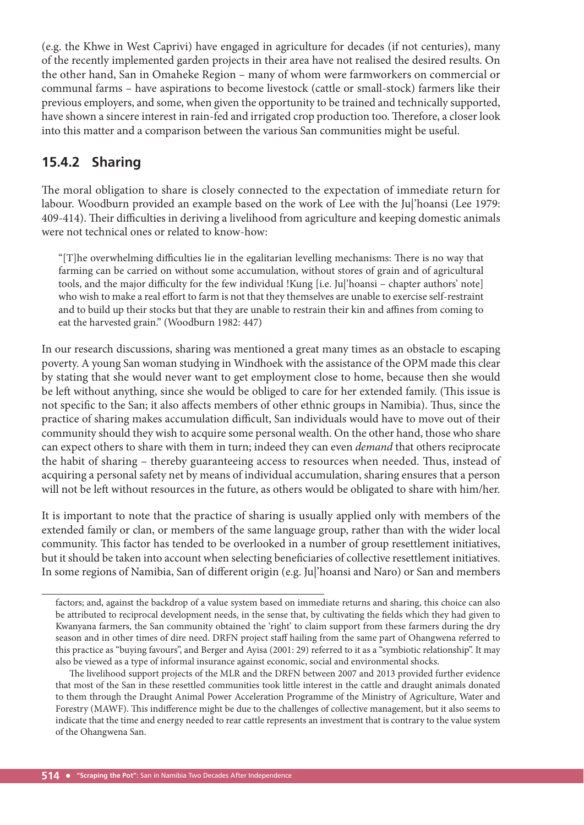(e.g. the Khwe in West Caprivi) have engaged in agriculture for decades (if not centuries), many of the recently implemented garden projects in their area have not realised the desired results. On the other hand, San in Omaheke Region – many of whom were farmworkers on commercial or communal farms – have aspirations to become livestock (cattle or small-stock) farmers like their previous employers, and some, when given the opportunity to be trained and technically supported, have shown a sincere interest in rain-fed and irrigated crop production too. Therefore, a closer look into this matter and a comparison between the various San communities might be useful.

### **15.4.2 Sharing**

The moral obligation to share is closely connected to the expectation of immediate return for labour. Woodburn provided an example based on the work of Lee with the Ju|'hoansi (Lee 1979: 409-414). Their difficulties in deriving a livelihood from agriculture and keeping domestic animals were not technical ones or related to know-how:

" $[T]$ he overwhelming difficulties lie in the egalitarian levelling mechanisms: There is no way that farming can be carried on without some accumulation, without stores of grain and of agricultural tools, and the major difficulty for the few individual !Kung [i.e. Ju|'hoansi – chapter authors' note] who wish to make a real effort to farm is not that they themselves are unable to exercise self-restraint and to build up their stocks but that they are unable to restrain their kin and affines from coming to eat the harvested grain." (Woodburn 1982: 447)

In our research discussions, sharing was mentioned a great many times as an obstacle to escaping poverty. A young San woman studying in Windhoek with the assistance of the OPM made this clear by stating that she would never want to get employment close to home, because then she would be left without anything, since she would be obliged to care for her extended family. (This issue is not specific to the San; it also affects members of other ethnic groups in Namibia). Thus, since the practice of sharing makes accumulation difficult, San individuals would have to move out of their community should they wish to acquire some personal wealth. On the other hand, those who share can expect others to share with them in turn; indeed they can even demand that others reciprocate the habit of sharing – thereby guaranteeing access to resources when needed. Thus, instead of acquiring a personal safety net by means of individual accumulation, sharing ensures that a person will not be left without resources in the future, as others would be obligated to share with him/her.

It is important to note that the practice of sharing is usually applied only with members of the extended family or clan, or members of the same language group, rather than with the wider local community. This factor has tended to be overlooked in a number of group resettlement initiatives, but it should be taken into account when selecting beneficiaries of collective resettlement initiatives. In some regions of Namibia, San of different origin (e.g. Ju|'hoansi and Naro) or San and members

factors; and, against the backdrop of a value system based on immediate returns and sharing, this choice can also be attributed to reciprocal development needs, in the sense that, by cultivating the fields which they had given to Kwanyana farmers, the San community obtained the 'right' to claim support from these farmers during the dry season and in other times of dire need. DRFN project staff hailing from the same part of Ohangwena referred to this practice as "buying favours", and Berger and Ayisa (2001: 29) referred to it as a "symbiotic relationship". It may also be viewed as a type of informal insurance against economic, social and environmental shocks.

The livelihood support projects of the MLR and the DRFN between 2007 and 2013 provided further evidence that most of the San in these resettled communities took little interest in the cattle and draught animals donated to them through the Draught Animal Power Acceleration Programme of the Ministry of Agriculture, Water and Forestry (MAWF). This indifference might be due to the challenges of collective management, but it also seems to indicate that the time and energy needed to rear cattle represents an investment that is contrary to the value system of the Ohangwena San.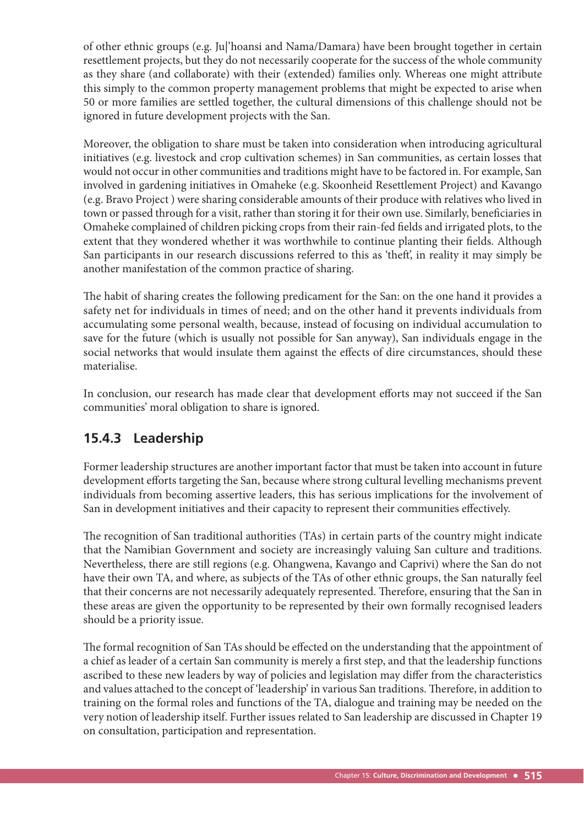of other ethnic groups (e.g. Ju|'hoansi and Nama/Damara) have been brought together in certain resettlement projects, but they do not necessarily cooperate for the success of the whole community as they share (and collaborate) with their (extended) families only. Whereas one might attribute this simply to the common property management problems that might be expected to arise when 50 or more families are settled together, the cultural dimensions of this challenge should not be ignored in future development projects with the San.

Moreover, the obligation to share must be taken into consideration when introducing agricultural initiatives (e.g. livestock and crop cultivation schemes) in San communities, as certain losses that would not occur in other communities and traditions might have to be factored in. For example, San involved in gardening initiatives in Omaheke (e.g. Skoonheid Resettlement Project) and Kavango (e.g. Bravo Project ) were sharing considerable amounts of their produce with relatives who lived in town or passed through for a visit, rather than storing it for their own use. Similarly, beneficiaries in Omaheke complained of children picking crops from their rain-fed fields and irrigated plots, to the extent that they wondered whether it was worthwhile to continue planting their fields. Although San participants in our research discussions referred to this as 'theft', in reality it may simply be another manifestation of the common practice of sharing.

The habit of sharing creates the following predicament for the San: on the one hand it provides a safety net for individuals in times of need; and on the other hand it prevents individuals from accumulating some personal wealth, because, instead of focusing on individual accumulation to save for the future (which is usually not possible for San anyway), San individuals engage in the social networks that would insulate them against the effects of dire circumstances, should these materialise.

In conclusion, our research has made clear that development efforts may not succeed if the San communities' moral obligation to share is ignored.

## **15.4.3 Leadership**

Former leadership structures are another important factor that must be taken into account in future development efforts targeting the San, because where strong cultural levelling mechanisms prevent individuals from becoming assertive leaders, this has serious implications for the involvement of San in development initiatives and their capacity to represent their communities effectively.

The recognition of San traditional authorities (TAs) in certain parts of the country might indicate that the Namibian Government and society are increasingly valuing San culture and traditions. Nevertheless, there are still regions (e.g. Ohangwena, Kavango and Caprivi) where the San do not have their own TA, and where, as subjects of the TAs of other ethnic groups, the San naturally feel that their concerns are not necessarily adequately represented. Therefore, ensuring that the San in these areas are given the opportunity to be represented by their own formally recognised leaders should be a priority issue.

The formal recognition of San TAs should be effected on the understanding that the appointment of a chief as leader of a certain San community is merely a first step, and that the leadership functions ascribed to these new leaders by way of policies and legislation may differ from the characteristics and values attached to the concept of 'leadership' in various San traditions. Therefore, in addition to training on the formal roles and functions of the TA, dialogue and training may be needed on the very notion of leadership itself. Further issues related to San leadership are discussed in Chapter 19 on consultation, participation and representation.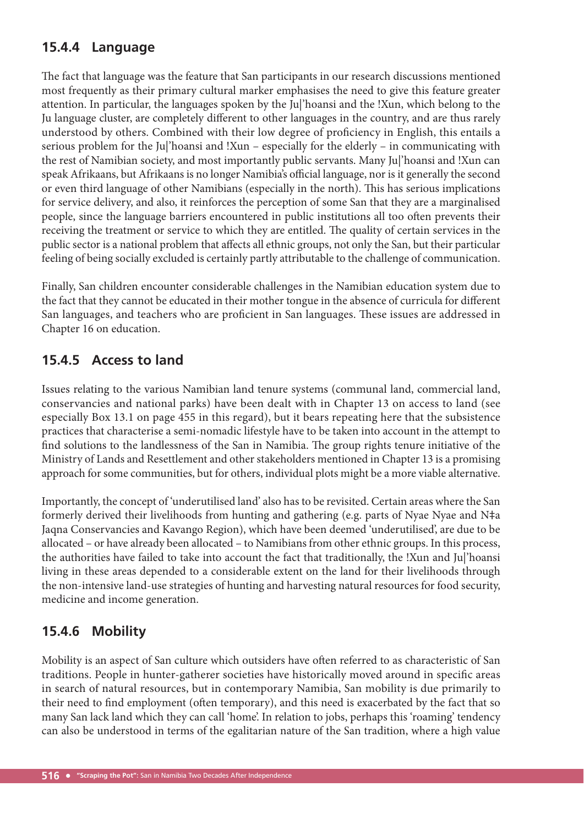## **15.4.4 Language**

The fact that language was the feature that San participants in our research discussions mentioned most frequently as their primary cultural marker emphasises the need to give this feature greater attention. In particular, the languages spoken by the Ju|'hoansi and the !Xun, which belong to the Ju language cluster, are completely different to other languages in the country, and are thus rarely understood by others. Combined with their low degree of proficiency in English, this entails a serious problem for the Ju|'hoansi and !Xun – especially for the elderly – in communicating with the rest of Namibian society, and most importantly public servants. Many Ju|'hoansi and !Xun can speak Afrikaans, but Afrikaans is no longer Namibia's official language, nor is it generally the second or even third language of other Namibians (especially in the north). This has serious implications for service delivery, and also, it reinforces the perception of some San that they are a marginalised people, since the language barriers encountered in public institutions all too often prevents their receiving the treatment or service to which they are entitled. The quality of certain services in the public sector is a national problem that affects all ethnic groups, not only the San, but their particular feeling of being socially excluded is certainly partly attributable to the challenge of communication.

Finally, San children encounter considerable challenges in the Namibian education system due to the fact that they cannot be educated in their mother tongue in the absence of curricula for different San languages, and teachers who are proficient in San languages. These issues are addressed in Chapter 16 on education.

## **15.4.5 Access to land**

Issues relating to the various Namibian land tenure systems (communal land, commercial land, conservancies and national parks) have been dealt with in Chapter 13 on access to land (see especially Box 13.1 on page 455 in this regard), but it bears repeating here that the subsistence practices that characterise a semi-nomadic lifestyle have to be taken into account in the attempt to find solutions to the landlessness of the San in Namibia. The group rights tenure initiative of the Ministry of Lands and Resettlement and other stakeholders mentioned in Chapter 13 is a promising approach for some communities, but for others, individual plots might be a more viable alternative.

Importantly, the concept of 'underutilised land' also has to be revisited. Certain areas where the San formerly derived their livelihoods from hunting and gathering (e.g. parts of Nyae Nyae and N‡a Jaqna Conservancies and Kavango Region), which have been deemed 'underutilised', are due to be allocated – or have already been allocated – to Namibians from other ethnic groups. In this process, the authorities have failed to take into account the fact that traditionally, the !Xun and Ju|'hoansi living in these areas depended to a considerable extent on the land for their livelihoods through the non-intensive land-use strategies of hunting and harvesting natural resources for food security, medicine and income generation.

## **15.4.6 Mobility**

Mobility is an aspect of San culture which outsiders have often referred to as characteristic of San traditions. People in hunter-gatherer societies have historically moved around in specific areas in search of natural resources, but in contemporary Namibia, San mobility is due primarily to their need to find employment (often temporary), and this need is exacerbated by the fact that so many San lack land which they can call 'home'. In relation to jobs, perhaps this 'roaming' tendency can also be understood in terms of the egalitarian nature of the San tradition, where a high value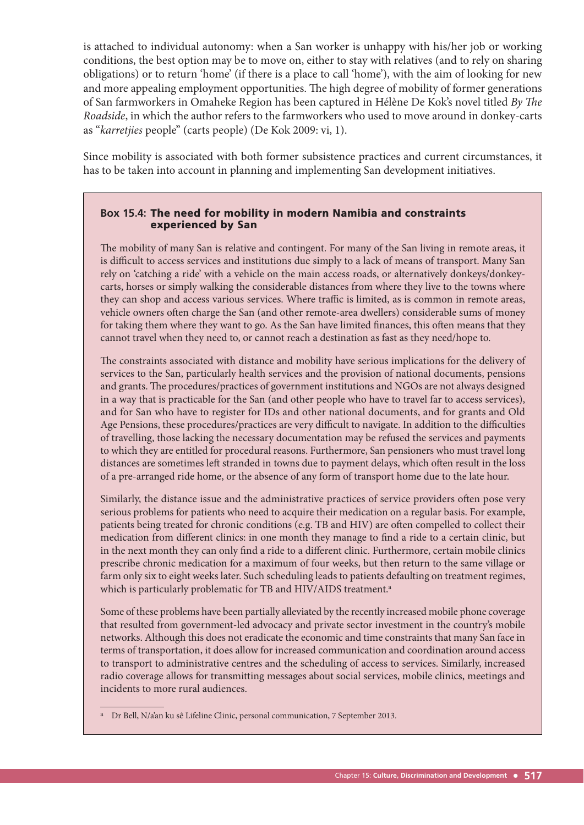is attached to individual autonomy: when a San worker is unhappy with his/her job or working conditions, the best option may be to move on, either to stay with relatives (and to rely on sharing obligations) or to return 'home' (if there is a place to call 'home'), with the aim of looking for new and more appealing employment opportunities. The high degree of mobility of former generations of San farmworkers in Omaheke Region has been captured in Hélène De Kok's novel titled By The Roadside, in which the author refers to the farmworkers who used to move around in donkey-carts as "karretjies people" (carts people) (De Kok 2009: vi, 1).

Since mobility is associated with both former subsistence practices and current circumstances, it has to be taken into account in planning and implementing San development initiatives.

#### **Box 15.4:** The need for mobility in modern Namibia and constraints experienced by San

The mobility of many San is relative and contingent. For many of the San living in remote areas, it is difficult to access services and institutions due simply to a lack of means of transport. Many San rely on 'catching a ride' with a vehicle on the main access roads, or alternatively donkeys/donkeycarts, horses or simply walking the considerable distances from where they live to the towns where they can shop and access various services. Where traffic is limited, as is common in remote areas, vehicle owners often charge the San (and other remote-area dwellers) considerable sums of money for taking them where they want to go. As the San have limited finances, this often means that they cannot travel when they need to, or cannot reach a destination as fast as they need/hope to.

The constraints associated with distance and mobility have serious implications for the delivery of services to the San, particularly health services and the provision of national documents, pensions and grants. The procedures/practices of government institutions and NGOs are not always designed in a way that is practicable for the San (and other people who have to travel far to access services), and for San who have to register for IDs and other national documents, and for grants and Old Age Pensions, these procedures/practices are very difficult to navigate. In addition to the difficulties of travelling, those lacking the necessary documentation may be refused the services and payments to which they are entitled for procedural reasons. Furthermore, San pensioners who must travel long distances are sometimes left stranded in towns due to payment delays, which often result in the loss of a pre-arranged ride home, or the absence of any form of transport home due to the late hour.

Similarly, the distance issue and the administrative practices of service providers often pose very serious problems for patients who need to acquire their medication on a regular basis. For example, patients being treated for chronic conditions (e.g. TB and HIV) are often compelled to collect their medication from different clinics: in one month they manage to find a ride to a certain clinic, but in the next month they can only find a ride to a different clinic. Furthermore, certain mobile clinics prescribe chronic medication for a maximum of four weeks, but then return to the same village or farm only six to eight weeks later. Such scheduling leads to patients defaulting on treatment regimes, which is particularly problematic for TB and HIV/AIDS treatment.<sup>a</sup>

Some of these problems have been partially alleviated by the recently increased mobile phone coverage that resulted from government-led advocacy and private sector investment in the country's mobile networks. Although this does not eradicate the economic and time constraints that many San face in terms of transportation, it does allow for increased communication and coordination around access to transport to administrative centres and the scheduling of access to services. Similarly, increased radio coverage allows for transmitting messages about social services, mobile clinics, meetings and incidents to more rural audiences.

a Dr Bell, N/a'an ku sê Lifeline Clinic, personal communication, 7 September 2013.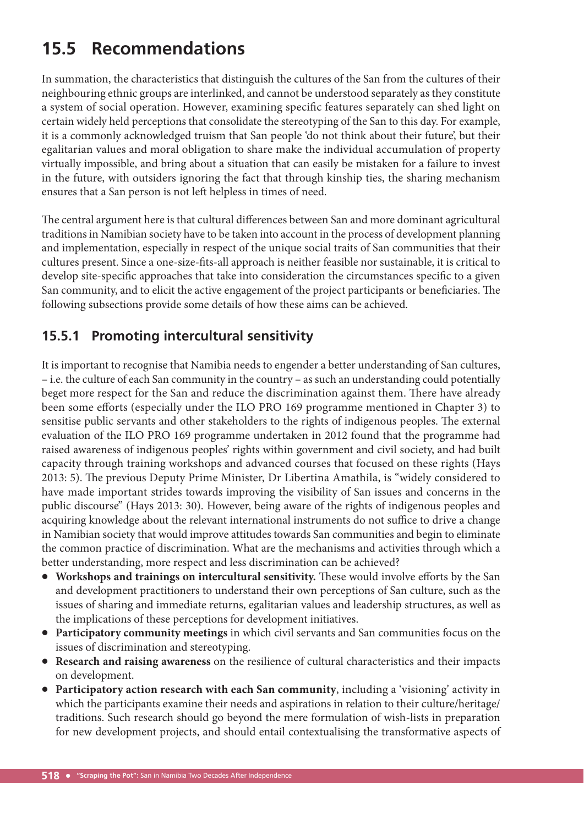# **15.5 Recommendations**

In summation, the characteristics that distinguish the cultures of the San from the cultures of their neighbouring ethnic groups are interlinked, and cannot be understood separately as they constitute a system of social operation. However, examining specific features separately can shed light on certain widely held perceptions that consolidate the stereotyping of the San to this day. For example, it is a commonly acknowledged truism that San people 'do not think about their future', but their egalitarian values and moral obligation to share make the individual accumulation of property virtually impossible, and bring about a situation that can easily be mistaken for a failure to invest in the future, with outsiders ignoring the fact that through kinship ties, the sharing mechanism ensures that a San person is not left helpless in times of need.

The central argument here is that cultural differences between San and more dominant agricultural traditions in Namibian society have to be taken into account in the process of development planning and implementation, especially in respect of the unique social traits of San communities that their cultures present. Since a one-size-fits-all approach is neither feasible nor sustainable, it is critical to develop site-specific approaches that take into consideration the circumstances specific to a given San community, and to elicit the active engagement of the project participants or beneficiaries. The following subsections provide some details of how these aims can be achieved.

## **15.5.1 Promoting intercultural sensitivity**

It is important to recognise that Namibia needs to engender a better understanding of San cultures, – i.e. the culture of each San community in the country – as such an understanding could potentially beget more respect for the San and reduce the discrimination against them. There have already been some efforts (especially under the ILO PRO 169 programme mentioned in Chapter 3) to sensitise public servants and other stakeholders to the rights of indigenous peoples. The external evaluation of the ILO PRO 169 programme undertaken in 2012 found that the programme had raised awareness of indigenous peoples' rights within government and civil society, and had built capacity through training workshops and advanced courses that focused on these rights (Hays 2013: 5). The previous Deputy Prime Minister, Dr Libertina Amathila, is "widely considered to have made important strides towards improving the visibility of San issues and concerns in the public discourse" (Hays 2013: 30). However, being aware of the rights of indigenous peoples and acquiring knowledge about the relevant international instruments do not suffice to drive a change in Namibian society that would improve attitudes towards San communities and begin to eliminate the common practice of discrimination. What are the mechanisms and activities through which a better understanding, more respect and less discrimination can be achieved?

- Workshops and trainings on intercultural sensitivity. These would involve efforts by the San and development practitioners to understand their own perceptions of San culture, such as the issues of sharing and immediate returns, egalitarian values and leadership structures, as well as the implications of these perceptions for development initiatives.
- **Participatory community meetings** in which civil servants and San communities focus on the issues of discrimination and stereotyping.
- **Research and raising awareness** on the resilience of cultural characteristics and their impacts on development.
- **Participatory action research with each San community**, including a 'visioning' activity in which the participants examine their needs and aspirations in relation to their culture/heritage/ traditions. Such research should go beyond the mere formulation of wish-lists in preparation for new development projects, and should entail contextualising the transformative aspects of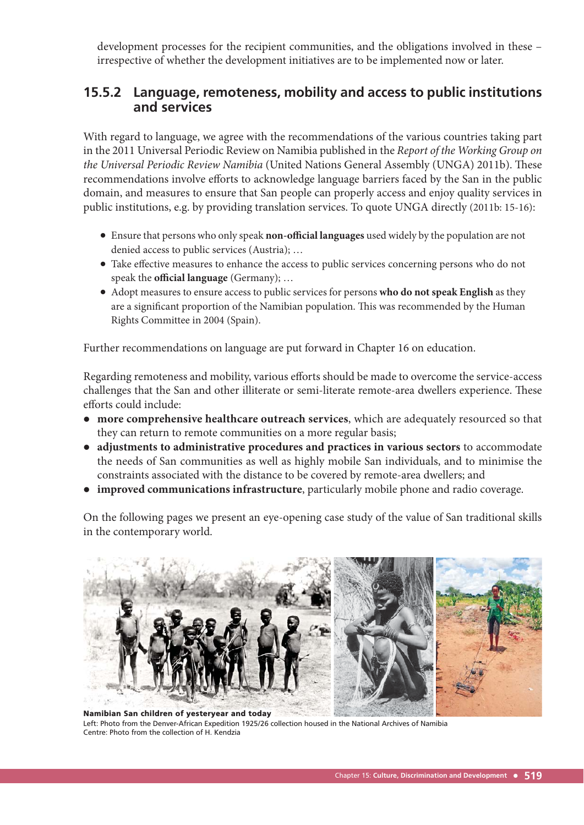development processes for the recipient communities, and the obligations involved in these – irrespective of whether the development initiatives are to be implemented now or later.

#### **15.5.2 Language, remoteness, mobility and access to public institutions and services**

With regard to language, we agree with the recommendations of the various countries taking part in the 2011 Universal Periodic Review on Namibia published in the Report of the Working Group on the Universal Periodic Review Namibia (United Nations General Assembly (UNGA) 2011b). These recommendations involve efforts to acknowledge language barriers faced by the San in the public domain, and measures to ensure that San people can properly access and enjoy quality services in public institutions, e.g. by providing translation services. To quote UNGA directly (2011b: 15-16):

- Ensure that persons who only speak **non-offi cial languages** used widely by the population are not denied access to public services (Austria); …
- Take effective measures to enhance the access to public services concerning persons who do not speak the **official language** (Germany); ...
- Adopt measures to ensure access to public services for persons **who do not speak English** as they are a significant proportion of the Namibian population. This was recommended by the Human Rights Committee in 2004 (Spain).

Further recommendations on language are put forward in Chapter 16 on education.

Regarding remoteness and mobility, various efforts should be made to overcome the service-access challenges that the San and other illiterate or semi-literate remote-area dwellers experience. These efforts could include:

- **more comprehensive healthcare outreach services**, which are adequately resourced so that they can return to remote communities on a more regular basis;
- **adjustments to administrative procedures and practices in various sectors** to accommodate the needs of San communities as well as highly mobile San individuals, and to minimise the constraints associated with the distance to be covered by remote-area dwellers; and
- **improved communications infrastructure**, particularly mobile phone and radio coverage.

On the following pages we present an eye-opening case study of the value of San traditional skills in the contemporary world.



Namibian San children of yesteryear and today Left: Photo from the Denver-African Expedition 1925/26 collection housed in the National Archives of Namibia Centre: Photo from the collection of H. Kendzia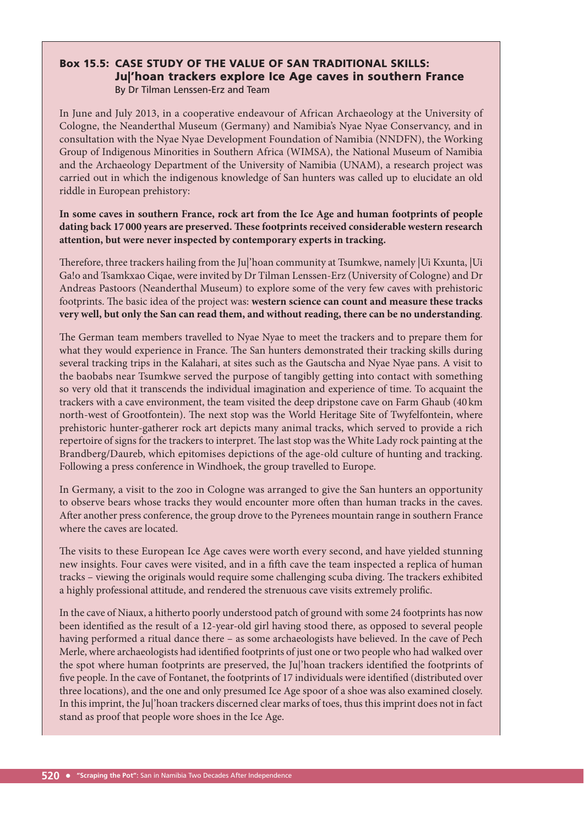#### Box 15.5: CASE STUDY OF THE VALUE OF SAN TRADITIONAL SKILLS: Ju|'hoan trackers explore Ice Age caves in southern France By Dr Tilman Lenssen-Erz and Team

In June and July 2013, in a cooperative endeavour of African Archaeology at the University of Cologne, the Neanderthal Museum (Germany) and Namibia's Nyae Nyae Conservancy, and in consultation with the Nyae Nyae Development Foundation of Namibia (NNDFN), the Working Group of Indigenous Minorities in Southern Africa (WIMSA), the National Museum of Namibia and the Archaeology Department of the University of Namibia (UNAM), a research project was carried out in which the indigenous knowledge of San hunters was called up to elucidate an old riddle in European prehistory:

#### **In some caves in southern France, rock art from the Ice Age and human footprints of people**  dating back 17000 years are preserved. These footprints received considerable western research **attention, but were never inspected by contemporary experts in tracking.**

Therefore, three trackers hailing from the Ju|'hoan community at Tsumkwe, namely |Ui Kxunta, |Ui Ga!o and Tsamkxao Ciqae, were invited by Dr Tilman Lenssen-Erz (University of Cologne) and Dr Andreas Pastoors (Neanderthal Museum) to explore some of the very few caves with prehistoric footprints. The basic idea of the project was: western science can count and measure these tracks **very well, but only the San can read them, and without reading, there can be no understanding**.

The German team members travelled to Nyae Nyae to meet the trackers and to prepare them for what they would experience in France. The San hunters demonstrated their tracking skills during several tracking trips in the Kalahari, at sites such as the Gautscha and Nyae Nyae pans. A visit to the baobabs near Tsumkwe served the purpose of tangibly getting into contact with something so very old that it transcends the individual imagination and experience of time. To acquaint the trackers with a cave environment, the team visited the deep dripstone cave on Farm Ghaub (40 km north-west of Grootfontein). The next stop was the World Heritage Site of Twyfelfontein, where prehistoric hunter-gatherer rock art depicts many animal tracks, which served to provide a rich repertoire of signs for the trackers to interpret. The last stop was the White Lady rock painting at the Brandberg/Daureb, which epitomises depictions of the age-old culture of hunting and tracking. Following a press conference in Windhoek, the group travelled to Europe.

In Germany, a visit to the zoo in Cologne was arranged to give the San hunters an opportunity to observe bears whose tracks they would encounter more often than human tracks in the caves. After another press conference, the group drove to the Pyrenees mountain range in southern France where the caves are located.

The visits to these European Ice Age caves were worth every second, and have yielded stunning new insights. Four caves were visited, and in a fifth cave the team inspected a replica of human tracks – viewing the originals would require some challenging scuba diving. The trackers exhibited a highly professional attitude, and rendered the strenuous cave visits extremely prolific.

In the cave of Niaux, a hitherto poorly understood patch of ground with some 24 footprints has now been identified as the result of a 12-year-old girl having stood there, as opposed to several people having performed a ritual dance there – as some archaeologists have believed. In the cave of Pech Merle, where archaeologists had identified footprints of just one or two people who had walked over the spot where human footprints are preserved, the Ju|'hoan trackers identified the footprints of five people. In the cave of Fontanet, the footprints of 17 individuals were identified (distributed over three locations), and the one and only presumed Ice Age spoor of a shoe was also examined closely. In this imprint, the Ju|'hoan trackers discerned clear marks of toes, thus this imprint does not in fact stand as proof that people wore shoes in the Ice Age.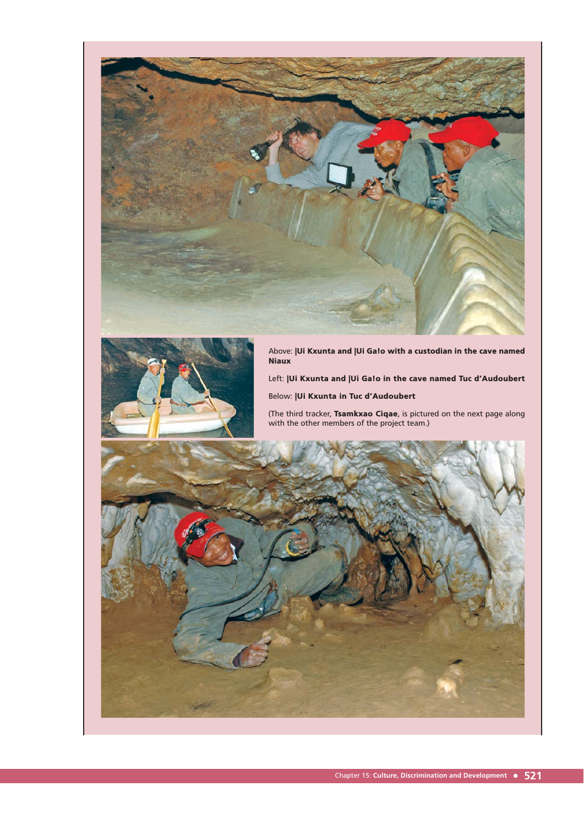



Above: |Ui Kxunta and |Ui Ga!o with a custodian in the cave named **Niaux** 

Left: |Ui Kxunta and |Ui Ga!o in the cave named Tuc d'Audoubert

Below: |Ui Kxunta in Tuc d'Audoubert

(The third tracker, Tsamkxao Ciqae, is pictured on the next page along with the other members of the project team.)